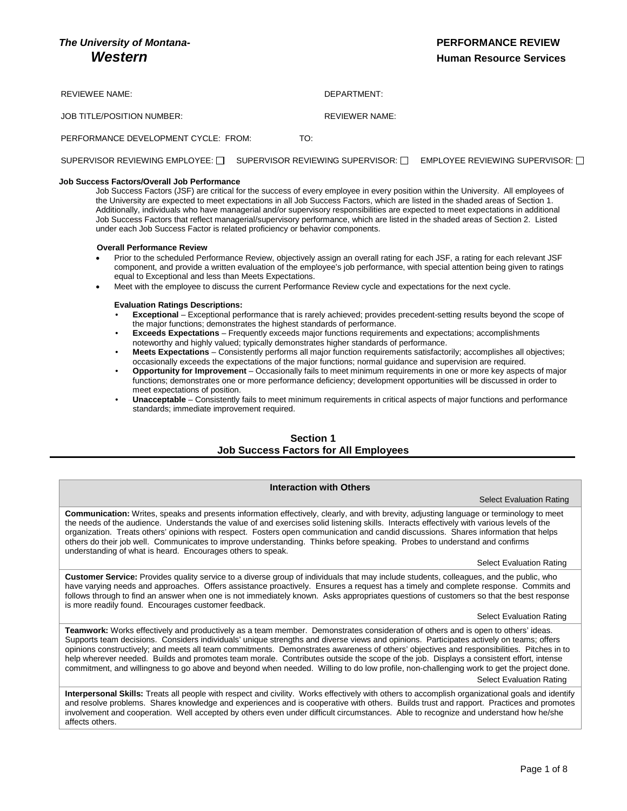# *The University of Montana-* **PERFORMANCE REVIEW**

# *Mestern Human Resource Services*

REVIEWEE NAME: WE GET A SERVICE OF A SERVICE OF A SERVICE OF A SERVICE OF A SERVICE OF A SERVICE OF A SERVICE O JOB TITLE/POSITION NUMBER: REVIEWER NAME:

PERFORMANCE DEVELOPMENT CYCLE: FROM: TO:

### SUPERVISOR REVIEWING EMPLOYEE: [ SUPERVISOR REVIEWING SUPERVISOR: [ GMPLOYEE REVIEWING SUPERVISOR: [ ]

### **Job Success Factors/Overall Job Performance**

Job Success Factors (JSF) are critical for the success of every employee in every position within the University. All employees of the University are expected to meet expectations in all Job Success Factors, which are listed in the shaded areas of Section 1. Additionally, individuals who have managerial and/or supervisory responsibilities are expected to meet expectations in additional Job Success Factors that reflect managerial/supervisory performance, which are listed in the shaded areas of Section 2. Listed under each Job Success Factor is related proficiency or behavior components.

### **Overall Performance Review**

- Prior to the scheduled Performance Review, objectively assign an overall rating for each JSF, a rating for each relevant JSF component, and provide a written evaluation of the employee's job performance, with special attention being given to ratings equal to Exceptional and less than Meets Expectations.
- Meet with the employee to discuss the current Performance Review cycle and expectations for the next cycle.

### **Evaluation Ratings Descriptions:**

- **Exceptional**  Exceptional performance that is rarely achieved; provides precedent-setting results beyond the scope of the major functions; demonstrates the highest standards of performance.
- **Exceeds Expectations** Frequently exceeds major functions requirements and expectations; accomplishments noteworthy and highly valued; typically demonstrates higher standards of performance.
- **Meets Expectations** Consistently performs all major function requirements satisfactorily; accomplishes all objectives; occasionally exceeds the expectations of the major functions; normal guidance and supervision are required.
- **Opportunity for Improvement** Occasionally fails to meet minimum requirements in one or more key aspects of major functions; demonstrates one or more performance deficiency; development opportunities will be discussed in order to meet expectations of position.
- **Unacceptable** Consistently fails to meet minimum requirements in critical aspects of major functions and performance standards; immediate improvement required.

## **Section 1 Job Success Factors for All Employees**

### **Interaction with Others**

### Select Evaluation Rating

**Communication:** Writes, speaks and presents information effectively, clearly, and with brevity, adjusting language or terminology to meet the needs of the audience. Understands the value of and exercises solid listening skills. Interacts effectively with various levels of the organization. Treats others' opinions with respect. Fosters open communication and candid discussions. Shares information that helps others do their job well. Communicates to improve understanding. Thinks before speaking. Probes to understand and confirms understanding of what is heard. Encourages others to speak.

### Select Evaluation Rating

**Customer Service:** Provides quality service to a diverse group of individuals that may include students, colleagues, and the public, who have varying needs and approaches. Offers assistance proactively. Ensures a request has a timely and complete response. Commits and follows through to find an answer when one is not immediately known. Asks appropriates questions of customers so that the best response is more readily found. Encourages customer feedback.

Select Evaluation Rating

**Teamwork:** Works effectively and productively as a team member. Demonstrates consideration of others and is open to others' ideas. Supports team decisions. Considers individuals' unique strengths and diverse views and opinions. Participates actively on teams; offers opinions constructively; and meets all team commitments. Demonstrates awareness of others' objectives and responsibilities. Pitches in to help wherever needed. Builds and promotes team morale. Contributes outside the scope of the job. Displays a consistent effort, intense commitment, and willingness to go above and beyond when needed. Willing to do low profile, non-challenging work to get the project done. Select Evaluation Rating

**Interpersonal Skills:** Treats all people with respect and civility. Works effectively with others to accomplish organizational goals and identify and resolve problems. Shares knowledge and experiences and is cooperative with others. Builds trust and rapport. Practices and promotes involvement and cooperation. Well accepted by others even under difficult circumstances. Able to recognize and understand how he/she affects others.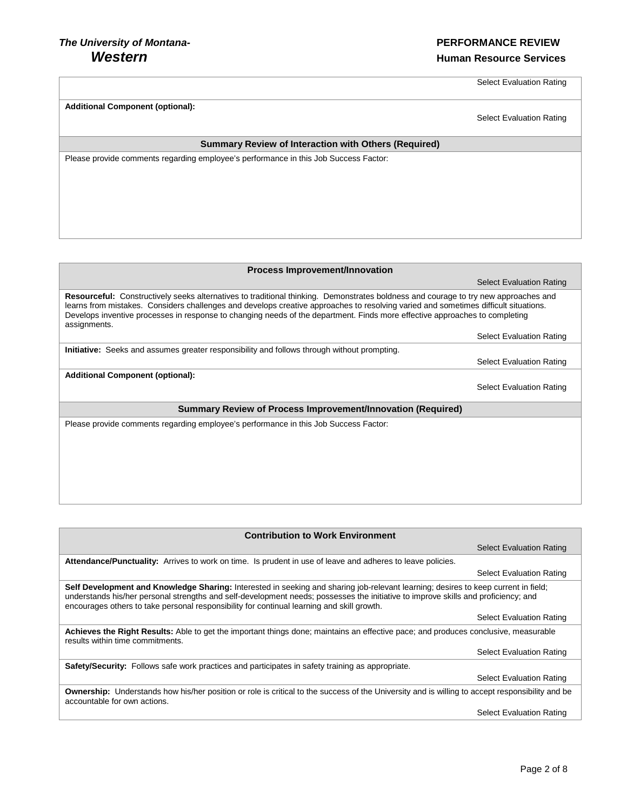Select Evaluation Rating

| <b>Additional Component (optional):</b>                                              | <b>Select Evaluation Rating</b> |  |
|--------------------------------------------------------------------------------------|---------------------------------|--|
| <b>Summary Review of Interaction with Others (Required)</b>                          |                                 |  |
|                                                                                      |                                 |  |
| Please provide comments regarding employee's performance in this Job Success Factor: |                                 |  |
|                                                                                      |                                 |  |
|                                                                                      |                                 |  |
|                                                                                      |                                 |  |
|                                                                                      |                                 |  |
|                                                                                      |                                 |  |
|                                                                                      |                                 |  |
|                                                                                      |                                 |  |
|                                                                                      |                                 |  |
|                                                                                      |                                 |  |
|                                                                                      |                                 |  |
| Process Improvement/Innovation                                                       |                                 |  |
|                                                                                      | <b>Select Evaluation Rating</b> |  |

**Resourceful:** Constructively seeks alternatives to traditional thinking. Demonstrates boldness and courage to try new approaches and learns from mistakes. Considers challenges and develops creative approaches to resolving varied and sometimes difficult situations. Develops inventive processes in response to changing needs of the department. Finds more effective approaches to completing assignments. Select Evaluation Rating

**Initiative:** Seeks and assumes greater responsibility and follows through without prompting.

**Additional Component (optional):**

Select Evaluation Rating

Select Evaluation Rating

**Summary Review of Process Improvement/Innovation (Required)**

| <b>Contribution to Work Environment</b>                                                                                                                                                                                                                                                                                                                                |                                 |
|------------------------------------------------------------------------------------------------------------------------------------------------------------------------------------------------------------------------------------------------------------------------------------------------------------------------------------------------------------------------|---------------------------------|
|                                                                                                                                                                                                                                                                                                                                                                        | <b>Select Evaluation Rating</b> |
| Attendance/Punctuality: Arrives to work on time. Is prudent in use of leave and adheres to leave policies.                                                                                                                                                                                                                                                             |                                 |
|                                                                                                                                                                                                                                                                                                                                                                        | <b>Select Evaluation Rating</b> |
| Self Development and Knowledge Sharing: Interested in seeking and sharing job-relevant learning; desires to keep current in field;<br>understands his/her personal strengths and self-development needs; possesses the initiative to improve skills and proficiency; and<br>encourages others to take personal responsibility for continual learning and skill growth. |                                 |
|                                                                                                                                                                                                                                                                                                                                                                        | <b>Select Evaluation Rating</b> |
| Achieves the Right Results: Able to get the important things done; maintains an effective pace; and produces conclusive, measurable<br>results within time commitments.                                                                                                                                                                                                |                                 |
|                                                                                                                                                                                                                                                                                                                                                                        | <b>Select Evaluation Rating</b> |
| Safety/Security: Follows safe work practices and participates in safety training as appropriate.                                                                                                                                                                                                                                                                       |                                 |
|                                                                                                                                                                                                                                                                                                                                                                        | <b>Select Evaluation Rating</b> |
| <b>Ownership:</b> Understands how his/her position or role is critical to the success of the University and is willing to accept responsibility and be<br>accountable for own actions.                                                                                                                                                                                 |                                 |
|                                                                                                                                                                                                                                                                                                                                                                        | <b>Select Evaluation Rating</b> |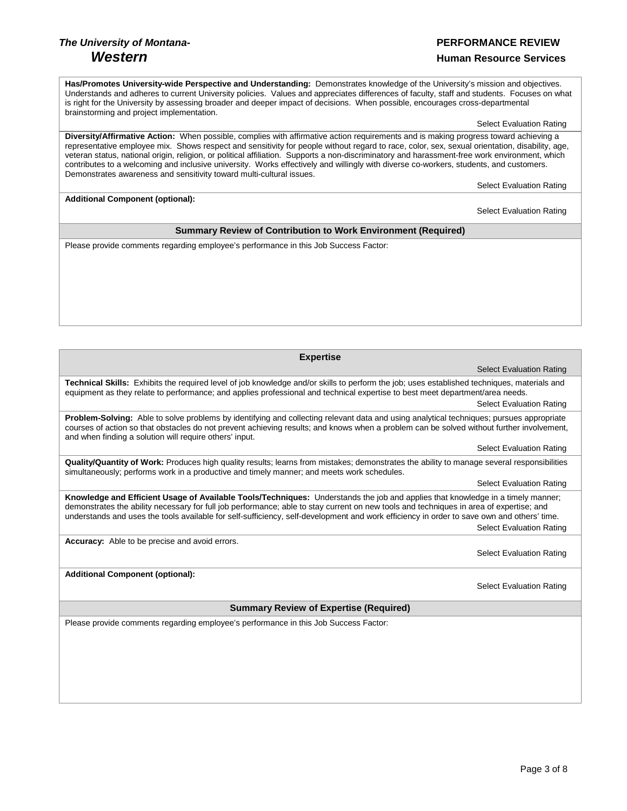# *The University of Montana-* **PERFORMANCE REVIEW** *Western Human Resource Services*

Page 3 of 8

**Has/Promotes University-wide Perspective and Understanding:** Demonstrates knowledge of the University's mission and objectives. Understands and adheres to current University policies. Values and appreciates differences of faculty, staff and students. Focuses on what is right for the University by assessing broader and deeper impact of decisions. When possible, encourages cross-departmental brainstorming and project implementation.

Select Evaluation Rating

**Diversity/Affirmative Action:** When possible, complies with affirmative action requirements and is making progress toward achieving a representative employee mix. Shows respect and sensitivity for people without regard to race, color, sex, sexual orientation, disability, age, veteran status, national origin, religion, or political affiliation. Supports a non-discriminatory and harassment-free work environment, which contributes to a welcoming and inclusive university. Works effectively and willingly with diverse co-workers, students, and customers. Demonstrates awareness and sensitivity toward multi-cultural issues.

Select Evaluation Rating

Select Evaluation Rating

**Additional Component (optional):**

**Summary Review of Contribution to Work Environment (Required)**

Please provide comments regarding employee's performance in this Job Success Factor:

 Select Evaluation Rating **Technical Skills:** Exhibits the required level of job knowledge and/or skills to perform the job; uses established techniques, materials and equipment as they relate to performance; and applies professional and technical expertise to best meet department/area needs. Select Evaluation Rating **Problem-Solving:** Able to solve problems by identifying and collecting relevant data and using analytical techniques; pursues appropriate courses of action so that obstacles do not prevent achieving results; and knows when a problem can be solved without further involvement, and when finding a solution will require others' input. Select Evaluation Rating

**Quality/Quantity of Work:** Produces high quality results; learns from mistakes; demonstrates the ability to manage several responsibilities simultaneously; performs work in a productive and timely manner; and meets work schedules.

Select Evaluation Rating

**Knowledge and Efficient Usage of Available Tools/Techniques:** Understands the job and applies that knowledge in a timely manner; demonstrates the ability necessary for full job performance; able to stay current on new tools and techniques in area of expertise; and understands and uses the tools available for self-sufficiency, self-development and work efficiency in order to save own and others' time. Select Evaluation Rating

**Accuracy:** Able to be precise and avoid errors.

Select Evaluation Rating

Select Evaluation Rating

**Additional Component (optional):**

**Summary Review of Expertise (Required)**

**Expertise**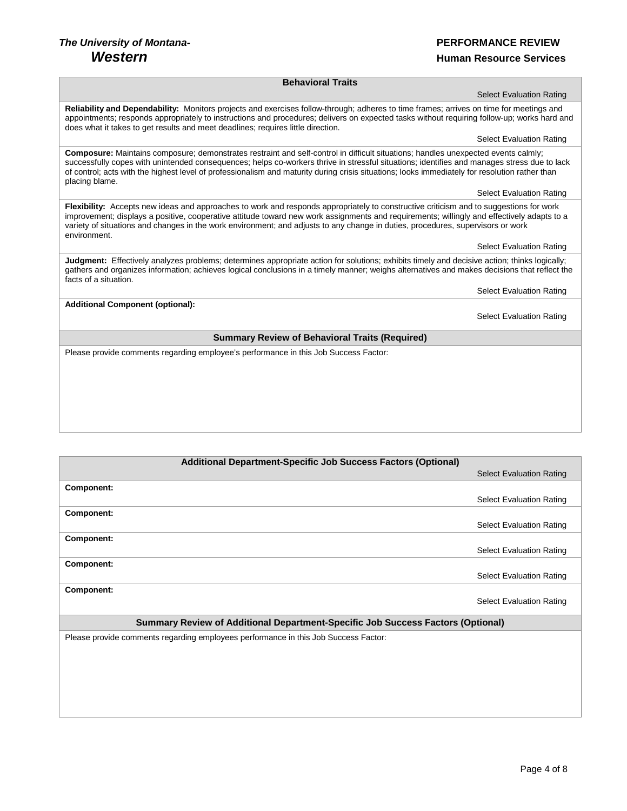# *The University of Montana-* **PERFORMANCE REVIEW**

# *Western Human Resource Services*

### **Behavioral Traits**

**Reliability and Dependability:** Monitors projects and exercises follow-through; adheres to time frames; arrives on time for meetings and appointments; responds appropriately to instructions and procedures; delivers on expected tasks without requiring follow-up; works hard and does what it takes to get results and meet deadlines; requires little direction.

Select Evaluation Rating

Select Evaluation Rating

**Composure:** Maintains composure; demonstrates restraint and self-control in difficult situations; handles unexpected events calmly; successfully copes with unintended consequences; helps co-workers thrive in stressful situations; identifies and manages stress due to lack of control; acts with the highest level of professionalism and maturity during crisis situations; looks immediately for resolution rather than placing blame.

Select Evaluation Rating

**Flexibility:** Accepts new ideas and approaches to work and responds appropriately to constructive criticism and to suggestions for work improvement; displays a positive, cooperative attitude toward new work assignments and requirements; willingly and effectively adapts to a variety of situations and changes in the work environment; and adjusts to any change in duties, procedures, supervisors or work environment.

### Select Evaluation Rating

**Judgment:** Effectively analyzes problems; determines appropriate action for solutions; exhibits timely and decisive action; thinks logically; gathers and organizes information; achieves logical conclusions in a timely manner; weighs alternatives and makes decisions that reflect the facts of a situation.

Select Evaluation Rating

**Additional Component (optional):**

Select Evaluation Rating

### **Summary Review of Behavioral Traits (Required)**

| <b>Additional Department-Specific Job Success Factors (Optional)</b>                |                                 |  |
|-------------------------------------------------------------------------------------|---------------------------------|--|
|                                                                                     | <b>Select Evaluation Rating</b> |  |
| Component:                                                                          |                                 |  |
|                                                                                     | <b>Select Evaluation Rating</b> |  |
| Component:                                                                          |                                 |  |
|                                                                                     | <b>Select Evaluation Rating</b> |  |
| Component:                                                                          |                                 |  |
|                                                                                     | <b>Select Evaluation Rating</b> |  |
| Component:                                                                          |                                 |  |
|                                                                                     | <b>Select Evaluation Rating</b> |  |
| Component:                                                                          |                                 |  |
|                                                                                     | <b>Select Evaluation Rating</b> |  |
| Summary Review of Additional Department-Specific Job Success Factors (Optional)     |                                 |  |
| Please provide comments regarding employees performance in this Job Success Factor: |                                 |  |
|                                                                                     |                                 |  |
|                                                                                     |                                 |  |
|                                                                                     |                                 |  |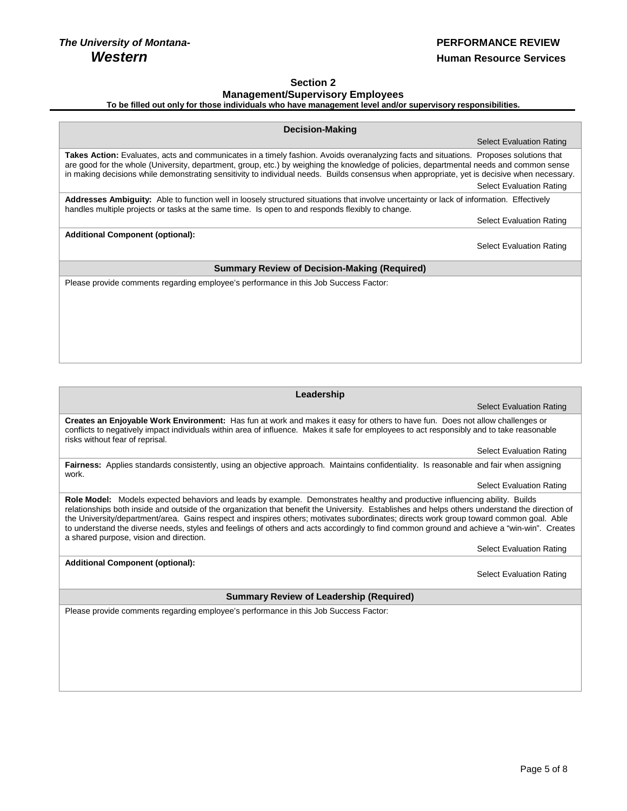**Additional Component (optional):**

# **Section 2 Management/Supervisory Employees**

**To be filled out only for those individuals who have management level and/or supervisory responsibilities.**

| <b>Decision-Making</b>                                                                                                                                                                                                                                                                                                                                                                                                           |                                 |  |  |
|----------------------------------------------------------------------------------------------------------------------------------------------------------------------------------------------------------------------------------------------------------------------------------------------------------------------------------------------------------------------------------------------------------------------------------|---------------------------------|--|--|
|                                                                                                                                                                                                                                                                                                                                                                                                                                  | <b>Select Evaluation Rating</b> |  |  |
| Takes Action: Evaluates, acts and communicates in a timely fashion. Avoids overanalyzing facts and situations. Proposes solutions that<br>are good for the whole (University, department, group, etc.) by weighing the knowledge of policies, departmental needs and common sense<br>in making decisions while demonstrating sensitivity to individual needs. Builds consensus when appropriate, yet is decisive when necessary. | <b>Select Evaluation Rating</b> |  |  |
| Addresses Ambiguity: Able to function well in loosely structured situations that involve uncertainty or lack of information. Effectively<br>handles multiple projects or tasks at the same time. Is open to and responds flexibly to change.                                                                                                                                                                                     |                                 |  |  |
|                                                                                                                                                                                                                                                                                                                                                                                                                                  | <b>Select Evaluation Rating</b> |  |  |
| <b>Additional Component (optional):</b>                                                                                                                                                                                                                                                                                                                                                                                          |                                 |  |  |
|                                                                                                                                                                                                                                                                                                                                                                                                                                  | <b>Select Evaluation Rating</b> |  |  |
| <b>Summary Review of Decision-Making (Required)</b>                                                                                                                                                                                                                                                                                                                                                                              |                                 |  |  |
| Please provide comments regarding employee's performance in this Job Success Factor:                                                                                                                                                                                                                                                                                                                                             |                                 |  |  |
|                                                                                                                                                                                                                                                                                                                                                                                                                                  |                                 |  |  |
|                                                                                                                                                                                                                                                                                                                                                                                                                                  |                                 |  |  |
|                                                                                                                                                                                                                                                                                                                                                                                                                                  |                                 |  |  |

### **Leadership**

Select Evaluation Rating

**Creates an Enjoyable Work Environment:** Has fun at work and makes it easy for others to have fun. Does not allow challenges or conflicts to negatively impact individuals within area of influence. Makes it safe for employees to act responsibly and to take reasonable risks without fear of reprisal.

Select Evaluation Rating

**Fairness:** Applies standards consistently, using an objective approach. Maintains confidentiality. Is reasonable and fair when assigning work.

Select Evaluation Rating

**Role Model:** Models expected behaviors and leads by example. Demonstrates healthy and productive influencing ability. Builds relationships both inside and outside of the organization that benefit the University. Establishes and helps others understand the direction of the University/department/area. Gains respect and inspires others; motivates subordinates; directs work group toward common goal. Able to understand the diverse needs, styles and feelings of others and acts accordingly to find common ground and achieve a "win-win". Creates a shared purpose, vision and direction.

Select Evaluation Rating

Select Evaluation Rating

**Summary Review of Leadership (Required)**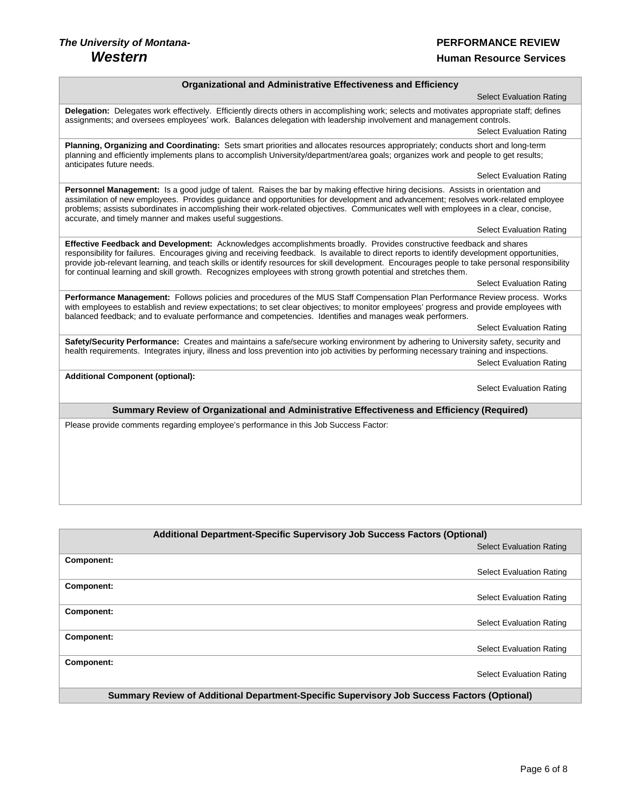# *The University of Montana-* **PERFORMANCE REVIEW**

Г

## **Human Resource Services**

## **Organizational and Administrative Effectiveness and Efficiency**

| <b>Select Evaluation Rating</b>                                                                                                                                                                                                                                                                                                                                                                                                                                                                                                         |  |  |
|-----------------------------------------------------------------------------------------------------------------------------------------------------------------------------------------------------------------------------------------------------------------------------------------------------------------------------------------------------------------------------------------------------------------------------------------------------------------------------------------------------------------------------------------|--|--|
| Delegation: Delegates work effectively. Efficiently directs others in accomplishing work; selects and motivates appropriate staff; defines<br>assignments; and oversees employees' work. Balances delegation with leadership involvement and management controls.                                                                                                                                                                                                                                                                       |  |  |
| <b>Select Evaluation Rating</b>                                                                                                                                                                                                                                                                                                                                                                                                                                                                                                         |  |  |
| Planning, Organizing and Coordinating: Sets smart priorities and allocates resources appropriately; conducts short and long-term<br>planning and efficiently implements plans to accomplish University/department/area goals; organizes work and people to get results;<br>anticipates future needs.                                                                                                                                                                                                                                    |  |  |
| <b>Select Evaluation Rating</b>                                                                                                                                                                                                                                                                                                                                                                                                                                                                                                         |  |  |
| Personnel Management: Is a good judge of talent. Raises the bar by making effective hiring decisions. Assists in orientation and<br>assimilation of new employees. Provides guidance and opportunities for development and advancement; resolves work-related employee<br>problems; assists subordinates in accomplishing their work-related objectives. Communicates well with employees in a clear, concise,<br>accurate, and timely manner and makes useful suggestions.                                                             |  |  |
| <b>Select Evaluation Rating</b>                                                                                                                                                                                                                                                                                                                                                                                                                                                                                                         |  |  |
| Effective Feedback and Development: Acknowledges accomplishments broadly. Provides constructive feedback and shares<br>responsibility for failures. Encourages giving and receiving feedback. Is available to direct reports to identify development opportunities,<br>provide job-relevant learning, and teach skills or identify resources for skill development. Encourages people to take personal responsibility<br>for continual learning and skill growth. Recognizes employees with strong growth potential and stretches them. |  |  |
| <b>Select Evaluation Rating</b>                                                                                                                                                                                                                                                                                                                                                                                                                                                                                                         |  |  |
| Performance Management: Follows policies and procedures of the MUS Staff Compensation Plan Performance Review process. Works<br>with employees to establish and review expectations; to set clear objectives; to monitor employees' progress and provide employees with<br>balanced feedback; and to evaluate performance and competencies. Identifies and manages weak performers.                                                                                                                                                     |  |  |
| <b>Select Evaluation Rating</b>                                                                                                                                                                                                                                                                                                                                                                                                                                                                                                         |  |  |
| Safety/Security Performance: Creates and maintains a safe/secure working environment by adhering to University safety, security and<br>health requirements. Integrates injury, illness and loss prevention into job activities by performing necessary training and inspections.<br><b>Select Evaluation Rating</b>                                                                                                                                                                                                                     |  |  |
| <b>Additional Component (optional):</b>                                                                                                                                                                                                                                                                                                                                                                                                                                                                                                 |  |  |
| <b>Select Evaluation Rating</b>                                                                                                                                                                                                                                                                                                                                                                                                                                                                                                         |  |  |
| Summary Review of Organizational and Administrative Effectiveness and Efficiency (Required)                                                                                                                                                                                                                                                                                                                                                                                                                                             |  |  |
| Please provide comments regarding employee's performance in this Job Success Factor:                                                                                                                                                                                                                                                                                                                                                                                                                                                    |  |  |
|                                                                                                                                                                                                                                                                                                                                                                                                                                                                                                                                         |  |  |
|                                                                                                                                                                                                                                                                                                                                                                                                                                                                                                                                         |  |  |
|                                                                                                                                                                                                                                                                                                                                                                                                                                                                                                                                         |  |  |
|                                                                                                                                                                                                                                                                                                                                                                                                                                                                                                                                         |  |  |

| Additional Department-Specific Supervisory Job Success Factors (Optional)                   |                                 |
|---------------------------------------------------------------------------------------------|---------------------------------|
|                                                                                             | <b>Select Evaluation Rating</b> |
| Component:                                                                                  |                                 |
|                                                                                             | <b>Select Evaluation Rating</b> |
| Component:                                                                                  |                                 |
|                                                                                             | <b>Select Evaluation Rating</b> |
| Component:                                                                                  |                                 |
|                                                                                             | <b>Select Evaluation Rating</b> |
| Component:                                                                                  |                                 |
|                                                                                             | <b>Select Evaluation Rating</b> |
| Component:                                                                                  |                                 |
|                                                                                             | <b>Select Evaluation Rating</b> |
| Summary Review of Additional Department-Specific Supervisory Job Success Factors (Optional) |                                 |